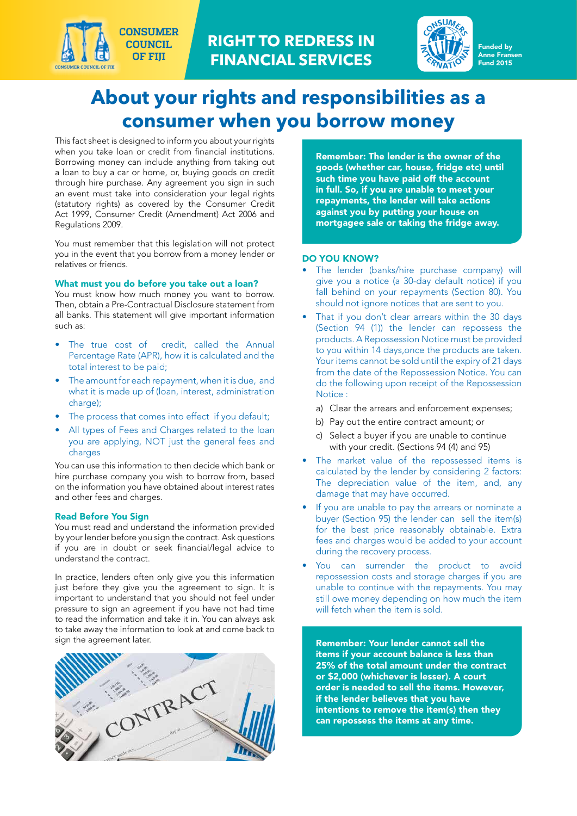



#### Funded by Anne Fransen Fund 2015

# **About your rights and responsibilities as a consumer when you borrow money**

This fact sheet is designed to inform you about your rights when you take loan or credit from financial institutions. Borrowing money can include anything from taking out a loan to buy a car or home, or, buying goods on credit through hire purchase. Any agreement you sign in such an event must take into consideration your legal rights (statutory rights) as covered by the Consumer Credit Act 1999, Consumer Credit (Amendment) Act 2006 and Regulations 2009.

**CONSUMER COUNCIL OF FIJI**

**CONSUMER COUNCIL OF FIJI**

You must remember that this legislation will not protect you in the event that you borrow from a money lender or relatives or friends.

#### What must you do before you take out a loan?

You must know how much money you want to borrow. Then, obtain a Pre-Contractual Disclosure statement from all banks. This statement will give important information such as:

- The true cost of credit, called the Annual Percentage Rate (APR), how it is calculated and the total interest to be paid;
- The amount for each repayment, when it is due, and what it is made up of (loan, interest, administration charge);
- The process that comes into effect if you default;
- All types of Fees and Charges related to the loan you are applying, NOT just the general fees and charges

You can use this information to then decide which bank or hire purchase company you wish to borrow from, based on the information you have obtained about interest rates and other fees and charges.

#### Read Before You Sign

You must read and understand the information provided by your lender before you sign the contract. Ask questions if you are in doubt or seek financial/legal advice to understand the contract.

In practice, lenders often only give you this information just before they give you the agreement to sign. It is important to understand that you should not feel under pressure to sign an agreement if you have not had time to read the information and take it in. You can always ask to take away the information to look at and come back to sign the agreement later.



Remember: The lender is the owner of the goods (whether car, house, fridge etc) until such time you have paid off the account in full. So, if you are unable to meet your repayments, the lender will take actions against you by putting your house on mortgagee sale or taking the fridge away.

#### DO YOU KNOW?

- The lender (banks/hire purchase company) will give you a notice (a 30-day default notice) if you fall behind on your repayments (Section 80). You should not ignore notices that are sent to you.
- That if you don't clear arrears within the 30 days (Section 94 (1)) the lender can repossess the products. A Repossession Notice must be provided to you within 14 days,once the products are taken. Your items cannot be sold until the expiry of 21 days from the date of the Repossession Notice. You can do the following upon receipt of the Repossession Notice :
	- a) Clear the arrears and enforcement expenses;
	- b) Pay out the entire contract amount; or
	- c) Select a buyer if you are unable to continue with your credit. (Sections 94 (4) and 95)
- The market value of the repossessed items is calculated by the lender by considering 2 factors: The depreciation value of the item, and, any damage that may have occurred.
- If you are unable to pay the arrears or nominate a buyer (Section 95) the lender can sell the item(s) for the best price reasonably obtainable. Extra fees and charges would be added to your account during the recovery process.
- You can surrender the product to avoid repossession costs and storage charges if you are unable to continue with the repayments. You may still owe money depending on how much the item will fetch when the item is sold.

Remember: Your lender cannot sell the items if your account balance is less than 25% of the total amount under the contract or \$2,000 (whichever is lesser). A court order is needed to sell the items. However, if the lender believes that you have intentions to remove the item(s) then they can repossess the items at any time.